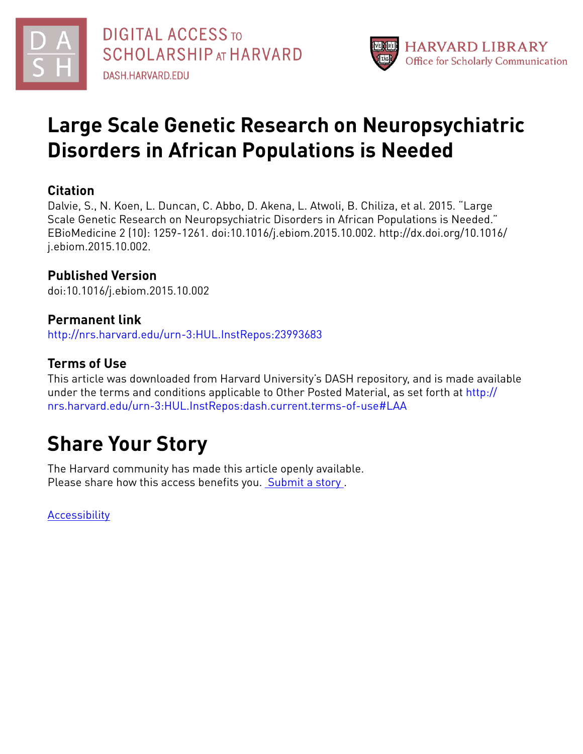



## **Large Scale Genetic Research on Neuropsychiatric Disorders in African Populations is Needed**

### **Citation**

Dalvie, S., N. Koen, L. Duncan, C. Abbo, D. Akena, L. Atwoli, B. Chiliza, et al. 2015. "Large Scale Genetic Research on Neuropsychiatric Disorders in African Populations is Needed." EBioMedicine 2 (10): 1259-1261. doi:10.1016/j.ebiom.2015.10.002. http://dx.doi.org/10.1016/ j.ebiom.2015.10.002.

### **Published Version**

doi:10.1016/j.ebiom.2015.10.002

### **Permanent link**

<http://nrs.harvard.edu/urn-3:HUL.InstRepos:23993683>

### **Terms of Use**

This article was downloaded from Harvard University's DASH repository, and is made available under the terms and conditions applicable to Other Posted Material, as set forth at [http://](http://nrs.harvard.edu/urn-3:HUL.InstRepos:dash.current.terms-of-use#LAA) [nrs.harvard.edu/urn-3:HUL.InstRepos:dash.current.terms-of-use#LAA](http://nrs.harvard.edu/urn-3:HUL.InstRepos:dash.current.terms-of-use#LAA)

# **Share Your Story**

The Harvard community has made this article openly available. Please share how this access benefits you. [Submit](http://osc.hul.harvard.edu/dash/open-access-feedback?handle=&title=Large%20Scale%20Genetic%20Research%20on%20Neuropsychiatric%20Disorders%20in%20African%20Populations%20is%20Needed&community=1/4454685&collection=1/4454686&owningCollection1/4454686&harvardAuthors=d949ef2988758cb7ddcfad87ce021d17&department) a story .

[Accessibility](https://dash.harvard.edu/pages/accessibility)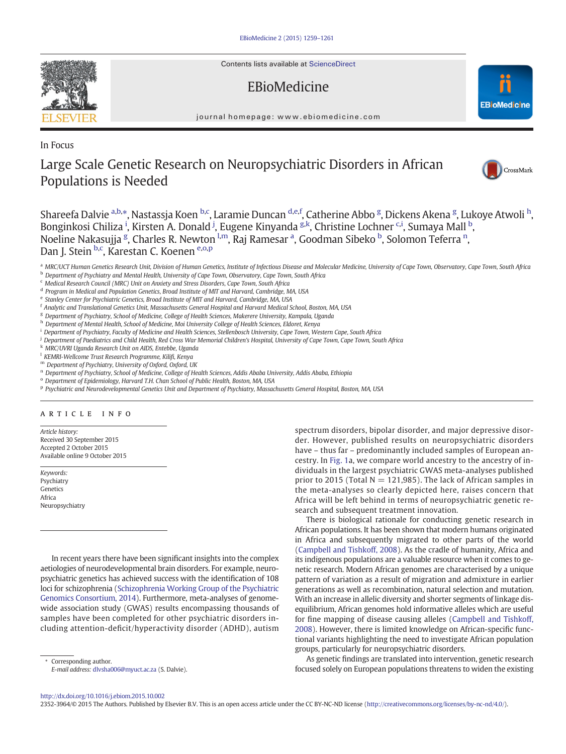Contents lists available at [ScienceDirect](http://www.sciencedirect.com/science/journal/03064603)

### EBioMedicine



journal homepage:<www.ebiomedicine.com>

In Focus

### Large Scale Genetic Research on Neuropsychiatric Disorders in African Populations is Needed



Shareefa Dalvie <sup>a,b,</sup>\*, Nastassja Koen <sup>b,c</sup>, Laramie Duncan <sup>d,e,f</sup>, Catherine Abbo <sup>g</sup>, Dickens Akena <sup>g</sup>, Lukoye Atwoli <sup>h</sup>, Bonginkosi Chiliza <sup>i</sup>, Kirsten A. Donald <sup>j</sup>, Eugene Kinyanda <sup>g,k</sup>, Christine Lochner <sup>c,i</sup>, Sumaya Mall <sup>b</sup>, Noeline Nakasujja <sup>g</sup>, Charles R. Newton <sup>l,m</sup>, Raj Ramesar ª, Goodman Sibeko <sup>b</sup>, Solomon Teferra <sup>n</sup>, Dan J. Stein <sup>b,c</sup>, Karestan C. Koenen <sup>e,o,p</sup>

a MRC/UCT Human Genetics Research Unit, Division of Human Genetics, Institute of Infectious Disease and Molecular Medicine, University of Cape Town, Observatory, Cape Town, South Africa

**b** Department of Psychiatry and Mental Health, University of Cape Town, Observatory, Cape Town, South Africa

<sup>c</sup> Medical Research Council (MRC) Unit on Anxiety and Stress Disorders, Cape Town, South Africa

<sup>d</sup> Program in Medical and Population Genetics, Broad Institute of MIT and Harvard, Cambridge, MA, USA

- <sup>f</sup> Analytic and Translational Genetics Unit, Massachusetts General Hospital and Harvard Medical School, Boston, MA, USA
- <sup>g</sup> Department of Psychiatry, School of Medicine, College of Health Sciences, Makerere University, Kampala, Uganda
- h Department of Mental Health, School of Medicine, Moi University College of Health Sciences, Eldoret, Kenya
- <sup>i</sup> Department of Psychiatry, Faculty of Medicine and Health Sciences, Stellenbosch University, Cape Town, Western Cape, South Africa
- <sup>j</sup> Department of Paediatrics and Child Health, Red Cross War Memorial Children's Hospital, University of Cape Town, Cape Town, South Africa
- <sup>k</sup> MRC/UVRI Uganda Research Unit on AIDS, Entebbe, Uganda
- <sup>l</sup> KEMRI-Wellcome Trust Research Programme, Kilifi, Kenya
- m Department of Psychiatry, University of Oxford, Oxford, UK
- <sup>n</sup> Department of Psychiatry, School of Medicine, College of Health Sciences, Addis Ababa University, Addis Ababa, Ethiopia
- <sup>o</sup> Department of Epidemiology, Harvard T.H. Chan School of Public Health, Boston, MA, USA
- <sup>p</sup> Psychiatric and Neurodevelopmental Genetics Unit and Department of Psychiatry, Massachusetts General Hospital, Boston, MA, USA

#### article info

Article history: Received 30 September 2015 Accepted 2 October 2015 Available online 9 October 2015

Keywords: **Psychiatry** Genetics Africa Neuropsychiatry

In recent years there have been significant insights into the complex aetiologies of neurodevelopmental brain disorders. For example, neuropsychiatric genetics has achieved success with the identification of 108 loci for schizophrenia ([Schizophrenia Working Group of the Psychiatric](#page-3-0) [Genomics Consortium, 2014](#page-3-0)). Furthermore, meta-analyses of genomewide association study (GWAS) results encompassing thousands of samples have been completed for other psychiatric disorders including attention-deficit/hyperactivity disorder (ADHD), autism

⁎ Corresponding author. E-mail address: [dlvsha006@myuct.ac.za](mailto:dlvsha006@myuct.ac.za) (S. Dalvie). spectrum disorders, bipolar disorder, and major depressive disorder. However, published results on neuropsychiatric disorders have – thus far – predominantly included samples of European ancestry. In [Fig. 1](#page-2-0)a, we compare world ancestry to the ancestry of individuals in the largest psychiatric GWAS meta-analyses published prior to 2015 (Total  $N = 121,985$ ). The lack of African samples in the meta-analyses so clearly depicted here, raises concern that Africa will be left behind in terms of neuropsychiatric genetic research and subsequent treatment innovation.

There is biological rationale for conducting genetic research in African populations. It has been shown that modern humans originated in Africa and subsequently migrated to other parts of the world [\(Campbell and Tishkoff, 2008](#page-3-0)). As the cradle of humanity, Africa and its indigenous populations are a valuable resource when it comes to genetic research. Modern African genomes are characterised by a unique pattern of variation as a result of migration and admixture in earlier generations as well as recombination, natural selection and mutation. With an increase in allelic diversity and shorter segments of linkage disequilibrium, African genomes hold informative alleles which are useful for fine mapping of disease causing alleles [\(Campbell and Tishkoff,](#page-3-0) [2008\)](#page-3-0). However, there is limited knowledge on African-specific functional variants highlighting the need to investigate African population groups, particularly for neuropsychiatric disorders.

As genetic findings are translated into intervention, genetic research focused solely on European populations threatens to widen the existing

<http://dx.doi.org/10.1016/j.ebiom.2015.10.002>

2352-3964/© 2015 The Authors. Published by Elsevier B.V. This is an open access article under the CC BY-NC-ND license [\(http://creativecommons.org/licenses/by-nc-nd/4.0/\)](http://creativecommons.org/licenses/by-nc-nd/4.0/).



<sup>e</sup> Stanley Center for Psychiatric Genetics, Broad Institute of MIT and Harvard, Cambridge, MA, USA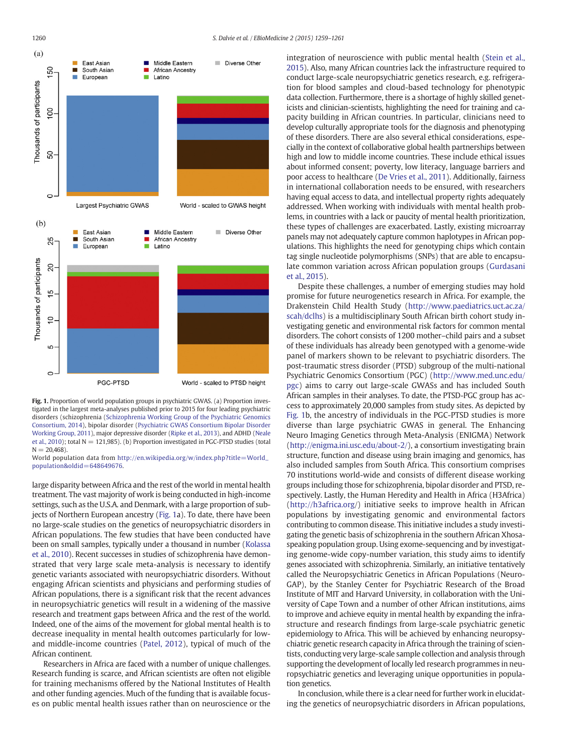

Fig. 1. Proportion of world population groups in psychiatric GWAS. (a) Proportion investigated in the largest meta-analyses published prior to 2015 for four leading psychiatric disorders (schizophrenia ([Schizophrenia Working Group of the Psychiatric Genomics](#page-3-0) [Consortium, 2014\)](#page-3-0), bipolar disorder [\(Psychiatric GWAS Consortium Bipolar Disorder](#page-3-0) [Working Group, 2011\)](#page-3-0), major depressive disorder ([Ripke et al., 2013](#page-3-0)), and ADHD ([Neale](#page-3-0) [et al., 2010\)](#page-3-0); total  $N = 121,985$ . (b) Proportion investigated in PGC-PTSD studies (total  $N = 20,468$ 

World population data from [http://en.wikipedia.org/w/index.php?title=World\\_](http://creativecommons.org/licenses/by-nc-nd/4.0/) [population&oldid=648649676.](http://creativecommons.org/licenses/by-nc-nd/4.0/)

large disparity between Africa and the rest of the world in mental health treatment. The vast majority of work is being conducted in high-income settings, such as the U.S.A. and Denmark, with a large proportion of subjects of Northern European ancestry (Fig. 1a). To date, there have been no large-scale studies on the genetics of neuropsychiatric disorders in African populations. The few studies that have been conducted have been on small samples, typically under a thousand in number [\(Kolassa](#page-3-0) [et al., 2010](#page-3-0)). Recent successes in studies of schizophrenia have demonstrated that very large scale meta-analysis is necessary to identify genetic variants associated with neuropsychiatric disorders. Without engaging African scientists and physicians and performing studies of African populations, there is a significant risk that the recent advances in neuropsychiatric genetics will result in a widening of the massive research and treatment gaps between Africa and the rest of the world. Indeed, one of the aims of the movement for global mental health is to decrease inequality in mental health outcomes particularly for lowand middle-income countries ([Patel, 2012](#page-3-0)), typical of much of the African continent.

Researchers in Africa are faced with a number of unique challenges. Research funding is scarce, and African scientists are often not eligible for training mechanisms offered by the National Institutes of Health and other funding agencies. Much of the funding that is available focuses on public mental health issues rather than on neuroscience or the integration of neuroscience with public mental health ([Stein et al.,](#page-3-0) [2015\)](#page-3-0). Also, many African countries lack the infrastructure required to conduct large-scale neuropsychiatric genetics research, e.g. refrigeration for blood samples and cloud-based technology for phenotypic data collection. Furthermore, there is a shortage of highly skilled geneticists and clinician-scientists, highlighting the need for training and capacity building in African countries. In particular, clinicians need to develop culturally appropriate tools for the diagnosis and phenotyping of these disorders. There are also several ethical considerations, especially in the context of collaborative global health partnerships between high and low to middle income countries. These include ethical issues about informed consent; poverty, low literacy, language barriers and poor access to healthcare [\(De Vries et al., 2011\)](#page-3-0). Additionally, fairness in international collaboration needs to be ensured, with researchers having equal access to data, and intellectual property rights adequately addressed. When working with individuals with mental health problems, in countries with a lack or paucity of mental health prioritization, these types of challenges are exacerbated. Lastly, existing microarray panels may not adequately capture common haplotypes in African populations. This highlights the need for genotyping chips which contain tag single nucleotide polymorphisms (SNPs) that are able to encapsulate common variation across African population groups [\(Gurdasani](#page-3-0) [et al., 2015](#page-3-0)).

Despite these challenges, a number of emerging studies may hold promise for future neurogenetics research in Africa. For example, the Drakenstein Child Health Study ([http://www.paediatrics.uct.ac.za/](http://www.paediatrics.uct.ac.za/scah/dclhs) [scah/dclhs\)](http://www.paediatrics.uct.ac.za/scah/dclhs) is a multidisciplinary South African birth cohort study investigating genetic and environmental risk factors for common mental disorders. The cohort consists of 1200 mother–child pairs and a subset of these individuals has already been genotyped with a genome-wide panel of markers shown to be relevant to psychiatric disorders. The post-traumatic stress disorder (PTSD) subgroup of the multi-national Psychiatric Genomics Consortium (PGC) ([http://www.med.unc.edu/](http://www.med.unc.edu/pgc) [pgc\)](http://www.med.unc.edu/pgc) aims to carry out large-scale GWASs and has included South African samples in their analyses. To date, the PTSD-PGC group has access to approximately 20,000 samples from study sites. As depicted by Fig. 1b, the ancestry of individuals in the PGC-PTSD studies is more diverse than large psychiatric GWAS in general. The Enhancing Neuro Imaging Genetics through Meta-Analysis (ENIGMA) Network [\(http://enigma.ini.usc.edu/about-2/\)](http://enigma.ini.usc.edu/about-2/), a consortium investigating brain structure, function and disease using brain imaging and genomics, has also included samples from South Africa. This consortium comprises 70 institutions world-wide and consists of different disease working groups including those for schizophrenia, bipolar disorder and PTSD, respectively. Lastly, the Human Heredity and Health in Africa (H3Africa) [\(http://h3africa.org](http://h3africa.org)/) initiative seeks to improve health in African populations by investigating genomic and environmental factors contributing to common disease. This initiative includes a study investigating the genetic basis of schizophrenia in the southern African Xhosaspeaking population group. Using exome-sequencing and by investigating genome-wide copy-number variation, this study aims to identify genes associated with schizophrenia. Similarly, an initiative tentatively called the Neuropsychiatric Genetics in African Populations (Neuro-GAP), by the Stanley Center for Psychiatric Research of the Broad Institute of MIT and Harvard University, in collaboration with the University of Cape Town and a number of other African institutions, aims to improve and achieve equity in mental health by expanding the infrastructure and research findings from large-scale psychiatric genetic epidemiology to Africa. This will be achieved by enhancing neuropsychiatric genetic research capacity in Africa through the training of scientists, conducting very large-scale sample collection and analysis through supporting the development of locally led research programmes in neuropsychiatric genetics and leveraging unique opportunities in population genetics.

In conclusion, while there is a clear need for further work in elucidating the genetics of neuropsychiatric disorders in African populations,

<span id="page-2-0"></span>